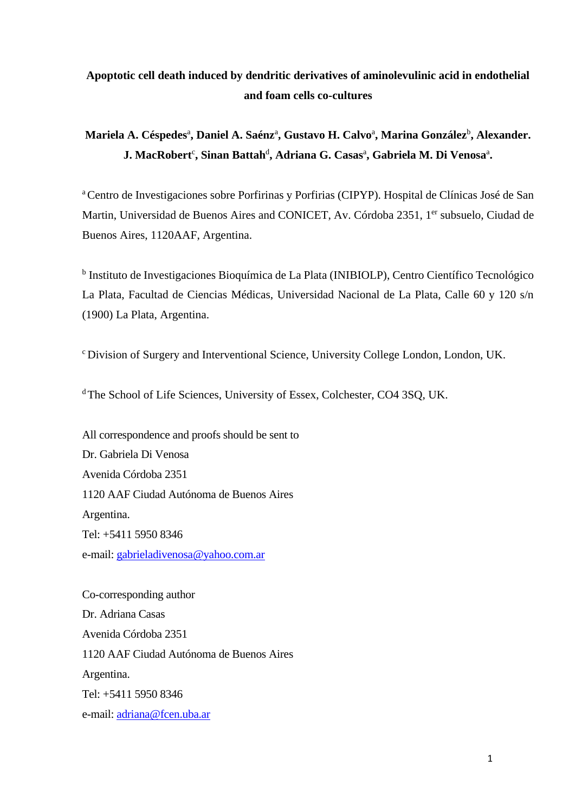# **Apoptotic cell death induced by dendritic derivatives of aminolevulinic acid in endothelial and foam cells co-cultures**

# **Mariela A. Céspedes**<sup>a</sup> **, Daniel A. Saénz**<sup>a</sup> **, Gustavo H. Calvo**<sup>a</sup> **, Marina González**<sup>b</sup> **, Alexander. J. MacRobert<sup>c</sup>, Sinan Battah<sup>d</sup>, Adriana G. Casas<sup>a</sup>, Gabriela M. Di Venosa<sup>a</sup>.**

<sup>a</sup>Centro de Investigaciones sobre Porfirinas y Porfirias (CIPYP). Hospital de Clínicas José de San Martin, Universidad de Buenos Aires and CONICET, Av. Córdoba 2351, 1<sup>er</sup> subsuelo, Ciudad de Buenos Aires, 1120AAF, Argentina.

<sup>b</sup> Instituto de Investigaciones Bioquímica de La Plata (INIBIOLP), Centro Científico Tecnológico La Plata, Facultad de Ciencias Médicas, Universidad Nacional de La Plata, Calle 60 y 120 s/n (1900) La Plata, Argentina.

<sup>c</sup> Division of Surgery and Interventional Science, University College London, London, UK.

<sup>d</sup>The School of Life Sciences, University of Essex, Colchester, CO4 3SQ, UK.

All correspondence and proofs should be sent to Dr. Gabriela Di Venosa Avenida Córdoba 2351 1120 AAF Ciudad Autónoma de Buenos Aires Argentina. Tel: +5411 5950 8346 e-mail: [gabrieladivenosa@yahoo.com.ar](mailto:gabrieladivenosa@yahoo.com.ar)

Co-corresponding author Dr. Adriana Casas Avenida Córdoba 2351 1120 AAF Ciudad Autónoma de Buenos Aires Argentina. Tel: +5411 5950 8346 e-mail: [adriana@fcen.uba.ar](mailto:adriana@fcen.uba.ar)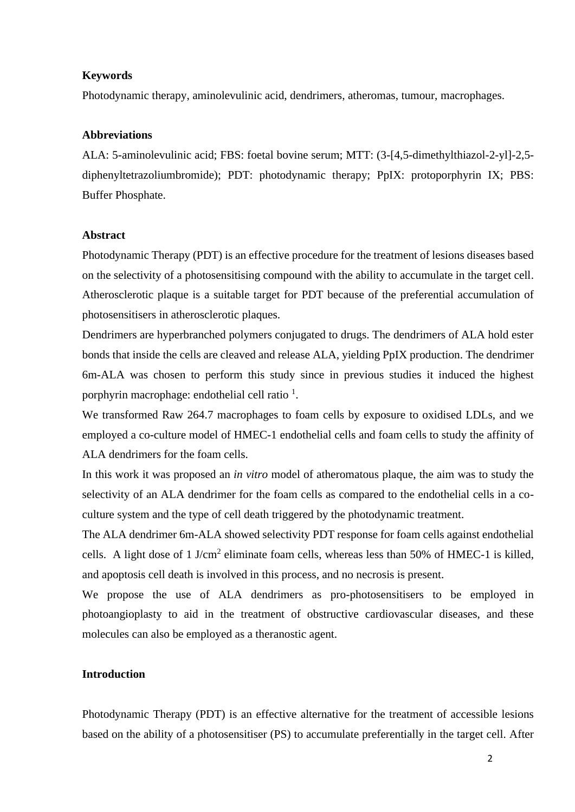#### **Keywords**

Photodynamic therapy, aminolevulinic acid, dendrimers, atheromas, tumour, macrophages.

#### **Abbreviations**

ALA: 5-aminolevulinic acid; FBS: foetal bovine serum; MTT: (3-[4,5-dimethylthiazol-2-yl]-2,5 diphenyltetrazoliumbromide); PDT: photodynamic therapy; PpIX: protoporphyrin IX; PBS: Buffer Phosphate.

#### **Abstract**

Photodynamic Therapy (PDT) is an effective procedure for the treatment of lesions diseases based on the selectivity of a photosensitising compound with the ability to accumulate in the target cell. Atherosclerotic plaque is a suitable target for PDT because of the preferential accumulation of photosensitisers in atherosclerotic plaques.

Dendrimers are hyperbranched polymers conjugated to drugs. The dendrimers of ALA hold ester bonds that inside the cells are cleaved and release ALA, yielding PpIX production. The dendrimer 6m-ALA was chosen to perform this study since in previous studies it induced the highest porphyrin macrophage: endothelial cell ratio<sup>1</sup>.

We transformed Raw 264.7 macrophages to foam cells by exposure to oxidised LDLs, and we employed a co-culture model of HMEC-1 endothelial cells and foam cells to study the affinity of ALA dendrimers for the foam cells.

In this work it was proposed an *in vitro* model of atheromatous plaque, the aim was to study the selectivity of an ALA dendrimer for the foam cells as compared to the endothelial cells in a coculture system and the type of cell death triggered by the photodynamic treatment.

The ALA dendrimer 6m-ALA showed selectivity PDT response for foam cells against endothelial cells. A light dose of 1 J/cm<sup>2</sup> eliminate foam cells, whereas less than 50% of HMEC-1 is killed, and apoptosis cell death is involved in this process, and no necrosis is present.

We propose the use of ALA dendrimers as pro-photosensitisers to be employed in photoangioplasty to aid in the treatment of obstructive cardiovascular diseases, and these molecules can also be employed as a theranostic agent.

### **Introduction**

Photodynamic Therapy (PDT) is an effective alternative for the treatment of accessible lesions based on the ability of a photosensitiser (PS) to accumulate preferentially in the target cell. After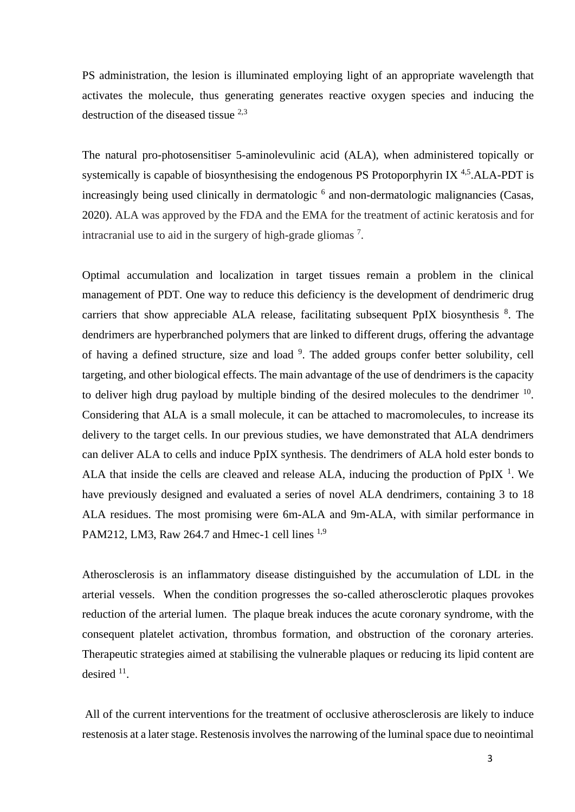PS administration, the lesion is illuminated employing light of an appropriate wavelength that activates the molecule, thus generating generates reactive oxygen species and inducing the destruction of the diseased tissue  $^{2,3}$ 

The natural pro-photosensitiser 5-aminolevulinic acid (ALA), when administered topically or systemically is capable of biosynthesising the endogenous PS Protoporphyrin IX  $4.5$ . ALA-PDT is increasingly being used clinically in dermatologic<sup>6</sup> and non-dermatologic malignancies (Casas, 2020). ALA was approved by the FDA and the EMA for the treatment of actinic keratosis and for intracranial use to aid in the surgery of high-grade gliomas<sup>7</sup>.

Optimal accumulation and localization in target tissues remain a problem in the clinical management of PDT. One way to reduce this deficiency is the development of dendrimeric drug carriers that show appreciable ALA release, facilitating subsequent PpIX biosynthesis <sup>8</sup>. The dendrimers are hyperbranched polymers that are linked to different drugs, offering the advantage of having a defined structure, size and load <sup>9</sup>. The added groups confer better solubility, cell targeting, and other biological effects. The main advantage of the use of dendrimers is the capacity to deliver high drug payload by multiple binding of the desired molecules to the dendrimer  $10$ . Considering that ALA is a small molecule, it can be attached to macromolecules, to increase its delivery to the target cells. In our previous studies, we have demonstrated that ALA dendrimers can deliver ALA to cells and induce PpIX synthesis. The dendrimers of ALA hold ester bonds to ALA that inside the cells are cleaved and release ALA, inducing the production of PpIX<sup>1</sup>. We have previously designed and evaluated a series of novel ALA dendrimers, containing 3 to 18 ALA residues. The most promising were 6m-ALA and 9m-ALA, with similar performance in PAM212, LM3, Raw 264.7 and Hmec-1 cell lines  $^{1,9}$ 

Atherosclerosis is an inflammatory disease distinguished by the accumulation of LDL in the arterial vessels. When the condition progresses the so-called atherosclerotic plaques provokes reduction of the arterial lumen. The plaque break induces the acute coronary syndrome, with the consequent platelet activation, thrombus formation, and obstruction of the coronary arteries. Therapeutic strategies aimed at stabilising the vulnerable plaques or reducing its lipid content are desired <sup>11</sup>.

All of the current interventions for the treatment of occlusive atherosclerosis are likely to induce restenosis at a later stage. Restenosis involves the narrowing of the luminal space due to neointimal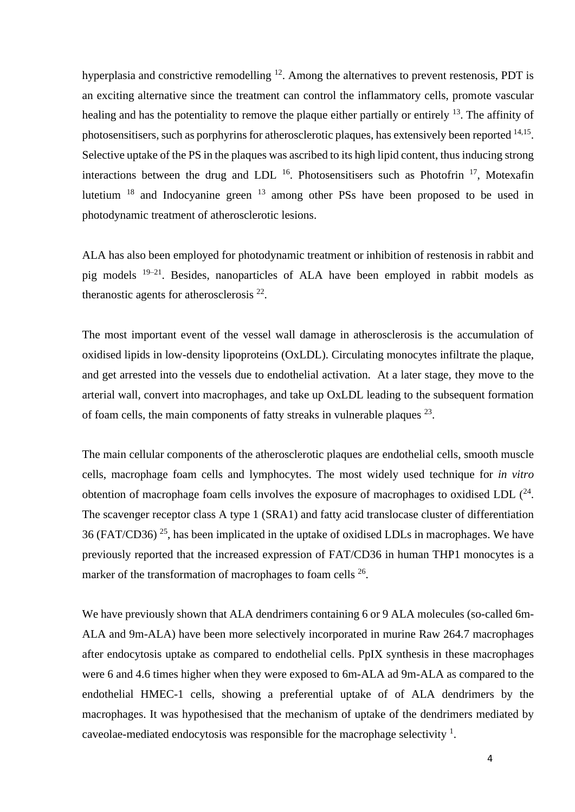hyperplasia and constrictive remodelling  $12$ . Among the alternatives to prevent restenosis, PDT is an exciting alternative since the treatment can control the inflammatory cells, promote vascular healing and has the potentiality to remove the plaque either partially or entirely <sup>13</sup>. The affinity of photosensitisers, such as porphyrins for atherosclerotic plaques, has extensively been reported <sup>14,15</sup>. Selective uptake of the PS in the plaques was ascribed to its high lipid content, thus inducing strong interactions between the drug and LDL  $^{16}$ . Photosensitisers such as Photofrin  $^{17}$ , Motexafin lutetium <sup>18</sup> and Indocyanine green <sup>13</sup> among other PSs have been proposed to be used in photodynamic treatment of atherosclerotic lesions.

ALA has also been employed for photodynamic treatment or inhibition of restenosis in rabbit and pig models <sup>19–21</sup>. Besides, nanoparticles of ALA have been employed in rabbit models as theranostic agents for atherosclerosis  $^{22}$ .

The most important event of the vessel wall damage in atherosclerosis is the accumulation of oxidised lipids in low-density lipoproteins (OxLDL). Circulating monocytes infiltrate the plaque, and get arrested into the vessels due to endothelial activation. At a later stage, they move to the arterial wall, convert into macrophages, and take up OxLDL leading to the subsequent formation of foam cells, the main components of fatty streaks in vulnerable plaques  $^{23}$ .

The main cellular components of the atherosclerotic plaques are endothelial cells, smooth muscle cells, macrophage foam cells and lymphocytes. The most widely used technique for *in vitro* obtention of macrophage foam cells involves the exposure of macrophages to oxidised LDL  $(^{24}$ . The scavenger receptor class A type 1 (SRA1) and fatty acid translocase cluster of differentiation 36 (FAT/CD36)<sup>25</sup>, has been implicated in the uptake of oxidised LDLs in macrophages. We have previously reported that the increased expression of FAT/CD36 in human THP1 monocytes is a marker of the transformation of macrophages to foam cells <sup>26</sup>.

We have previously shown that ALA dendrimers containing 6 or 9 ALA molecules (so-called 6m-ALA and 9m-ALA) have been more selectively incorporated in murine Raw 264.7 macrophages after endocytosis uptake as compared to endothelial cells. PpIX synthesis in these macrophages were 6 and 4.6 times higher when they were exposed to 6m-ALA ad 9m-ALA as compared to the endothelial HMEC-1 cells, showing a preferential uptake of of ALA dendrimers by the macrophages. It was hypothesised that the mechanism of uptake of the dendrimers mediated by caveolae-mediated endocytosis was responsible for the macrophage selectivity  $<sup>1</sup>$ .</sup>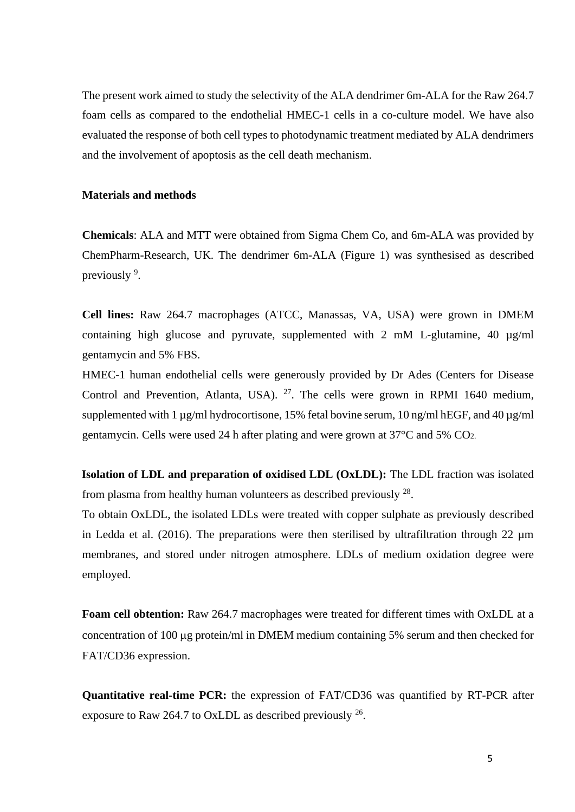The present work aimed to study the selectivity of the ALA dendrimer 6m-ALA for the Raw 264.7 foam cells as compared to the endothelial HMEC-1 cells in a co-culture model. We have also evaluated the response of both cell types to photodynamic treatment mediated by ALA dendrimers and the involvement of apoptosis as the cell death mechanism.

#### **Materials and methods**

**Chemicals**: ALA and MTT were obtained from Sigma Chem Co, and 6m-ALA was provided by ChemPharm-Research, UK. The dendrimer 6m-ALA (Figure 1) was synthesised as described previously <sup>9</sup>.

**Cell lines:** Raw 264.7 macrophages (ATCC, Manassas, VA, USA) were grown in DMEM containing high glucose and pyruvate, supplemented with 2 mM L-glutamine, 40 µg/ml gentamycin and 5% FBS.

HMEC-1 human endothelial cells were generously provided by Dr Ades (Centers for Disease Control and Prevention, Atlanta, USA).  $27$ . The cells were grown in RPMI 1640 medium, supplemented with 1  $\mu$ g/ml hydrocortisone, 15% fetal bovine serum, 10 ng/ml hEGF, and 40  $\mu$ g/ml gentamycin. Cells were used 24 h after plating and were grown at 37°C and 5% CO2.

**Isolation of LDL and preparation of oxidised LDL (OxLDL):** The LDL fraction was isolated from plasma from healthy human volunteers as described previously  $^{28}$ .

To obtain OxLDL, the isolated LDLs were treated with copper sulphate as previously described in Ledda et al. (2016). The preparations were then sterilised by ultrafiltration through 22  $\mu$ m membranes, and stored under nitrogen atmosphere. LDLs of medium oxidation degree were employed.

**Foam cell obtention:** Raw 264.7 macrophages were treated for different times with OxLDL at a concentration of 100 µg protein/ml in DMEM medium containing 5% serum and then checked for FAT/CD36 expression.

**Quantitative real-time PCR:** the expression of FAT/CD36 was quantified by RT-PCR after exposure to Raw 264.7 to OxLDL as described previously  $^{26}$ .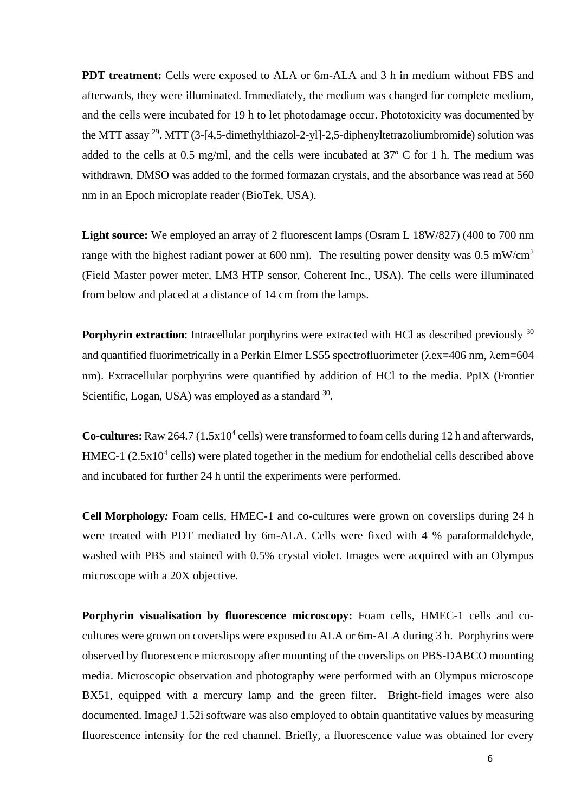**PDT treatment:** Cells were exposed to ALA or 6m-ALA and 3 h in medium without FBS and afterwards, they were illuminated. Immediately, the medium was changed for complete medium, and the cells were incubated for 19 h to let photodamage occur. Phototoxicity was documented by the MTT assay <sup>29</sup>. MTT (3-[4,5-dimethylthiazol-2-yl]-2,5-diphenyltetrazoliumbromide) solution was added to the cells at 0.5 mg/ml, and the cells were incubated at 37º C for 1 h. The medium was withdrawn, DMSO was added to the formed formazan crystals, and the absorbance was read at 560 nm in an Epoch microplate reader (BioTek, USA).

**Light source:** We employed an array of 2 fluorescent lamps (Osram L 18W/827) (400 to 700 nm range with the highest radiant power at 600 nm). The resulting power density was  $0.5 \text{ mW/cm}^2$ (Field Master power meter, LM3 HTP sensor, Coherent Inc., USA). The cells were illuminated from below and placed at a distance of 14 cm from the lamps.

**Porphyrin extraction**: Intracellular porphyrins were extracted with HCl as described previously <sup>30</sup> and quantified fluorimetrically in a Perkin Elmer LS55 spectrofluorimeter ( $\lambda$ ex=406 nm,  $\lambda$ em=604 nm). Extracellular porphyrins were quantified by addition of HCl to the media. PpIX (Frontier Scientific, Logan, USA) was employed as a standard  $30$ .

Co-cultures: Raw 264.7 (1.5x10<sup>4</sup> cells) were transformed to foam cells during 12 h and afterwards, HMEC-1  $(2.5x10<sup>4</sup>$  cells) were plated together in the medium for endothelial cells described above and incubated for further 24 h until the experiments were performed.

**Cell Morphology***:* Foam cells, HMEC-1 and co-cultures were grown on coverslips during 24 h were treated with PDT mediated by 6m-ALA. Cells were fixed with 4 % paraformaldehyde, washed with PBS and stained with 0.5% crystal violet. Images were acquired with an Olympus microscope with a 20X objective.

Porphyrin visualisation by fluorescence microscopy: Foam cells, HMEC-1 cells and cocultures were grown on coverslips were exposed to ALA or 6m-ALA during 3 h. Porphyrins were observed by fluorescence microscopy after mounting of the coverslips on PBS-DABCO mounting media. Microscopic observation and photography were performed with an Olympus microscope BX51, equipped with a mercury lamp and the green filter. Bright-field images were also documented. ImageJ 1.52i software was also employed to obtain quantitative values by measuring fluorescence intensity for the red channel. Briefly, a fluorescence value was obtained for every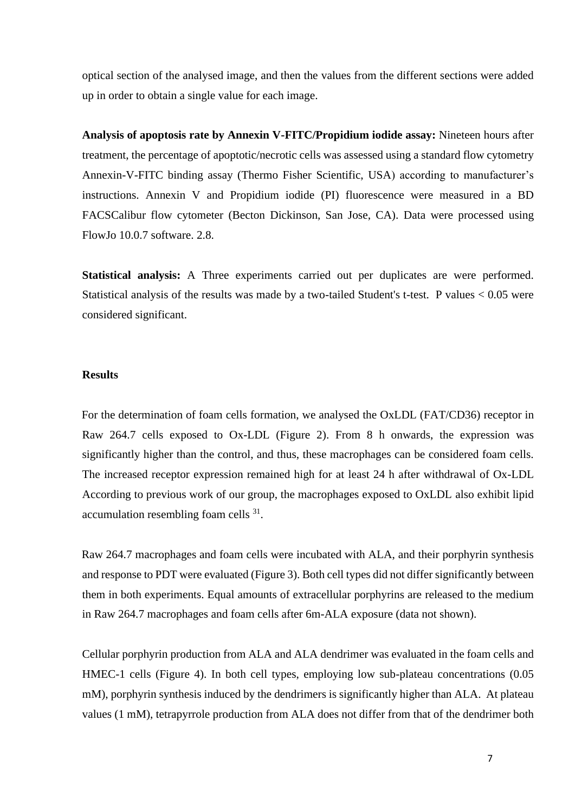optical section of the analysed image, and then the values from the different sections were added up in order to obtain a single value for each image.

**Analysis of apoptosis rate by Annexin V-FITC/Propidium iodide assay:** Nineteen hours after treatment, the percentage of apoptotic/necrotic cells was assessed using a standard flow cytometry Annexin-V-FITC binding assay (Thermo Fisher Scientific, USA) according to manufacturer's instructions. Annexin V and Propidium iodide (PI) fluorescence were measured in a BD FACSCalibur flow cytometer (Becton Dickinson, San Jose, CA). Data were processed using FlowJo 10.0.7 software. 2.8.

**Statistical analysis:** A Three experiments carried out per duplicates are were performed. Statistical analysis of the results was made by a two-tailed Student's t-test. P values < 0.05 were considered significant.

## **Results**

For the determination of foam cells formation, we analysed the OxLDL (FAT/CD36) receptor in Raw 264.7 cells exposed to Ox-LDL (Figure 2). From 8 h onwards, the expression was significantly higher than the control, and thus, these macrophages can be considered foam cells. The increased receptor expression remained high for at least 24 h after withdrawal of Ox-LDL According to previous work of our group, the macrophages exposed to OxLDL also exhibit lipid accumulation resembling foam cells <sup>31</sup>.

Raw 264.7 macrophages and foam cells were incubated with ALA, and their porphyrin synthesis and response to PDT were evaluated (Figure 3). Both cell types did not differ significantly between them in both experiments. Equal amounts of extracellular porphyrins are released to the medium in Raw 264.7 macrophages and foam cells after 6m-ALA exposure (data not shown).

Cellular porphyrin production from ALA and ALA dendrimer was evaluated in the foam cells and HMEC-1 cells (Figure 4). In both cell types, employing low sub-plateau concentrations (0.05 mM), porphyrin synthesis induced by the dendrimers is significantly higher than ALA. At plateau values (1 mM), tetrapyrrole production from ALA does not differ from that of the dendrimer both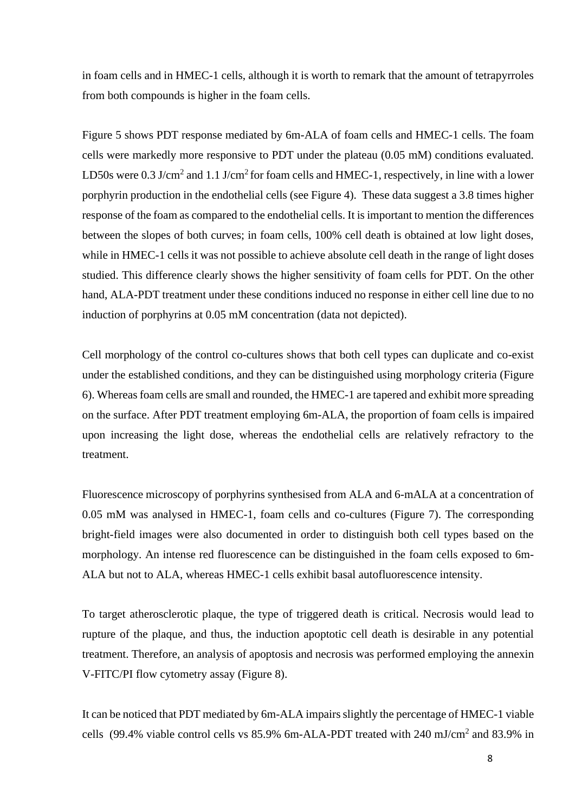in foam cells and in HMEC-1 cells, although it is worth to remark that the amount of tetrapyrroles from both compounds is higher in the foam cells.

Figure 5 shows PDT response mediated by 6m-ALA of foam cells and HMEC-1 cells. The foam cells were markedly more responsive to PDT under the plateau (0.05 mM) conditions evaluated. LD50s were 0.3 J/cm<sup>2</sup> and 1.1 J/cm<sup>2</sup> for foam cells and HMEC-1, respectively, in line with a lower porphyrin production in the endothelial cells (see Figure 4). These data suggest a 3.8 times higher response of the foam as compared to the endothelial cells. It is important to mention the differences between the slopes of both curves; in foam cells, 100% cell death is obtained at low light doses, while in HMEC-1 cells it was not possible to achieve absolute cell death in the range of light doses studied. This difference clearly shows the higher sensitivity of foam cells for PDT. On the other hand, ALA-PDT treatment under these conditions induced no response in either cell line due to no induction of porphyrins at 0.05 mM concentration (data not depicted).

Cell morphology of the control co-cultures shows that both cell types can duplicate and co-exist under the established conditions, and they can be distinguished using morphology criteria (Figure 6). Whereas foam cells are small and rounded, the HMEC-1 are tapered and exhibit more spreading on the surface. After PDT treatment employing 6m-ALA, the proportion of foam cells is impaired upon increasing the light dose, whereas the endothelial cells are relatively refractory to the treatment.

Fluorescence microscopy of porphyrins synthesised from ALA and 6-mALA at a concentration of 0.05 mM was analysed in HMEC-1, foam cells and co-cultures (Figure 7). The corresponding bright-field images were also documented in order to distinguish both cell types based on the morphology. An intense red fluorescence can be distinguished in the foam cells exposed to 6m-ALA but not to ALA, whereas HMEC-1 cells exhibit basal autofluorescence intensity.

To target atherosclerotic plaque, the type of triggered death is critical. Necrosis would lead to rupture of the plaque, and thus, the induction apoptotic cell death is desirable in any potential treatment. Therefore, an analysis of apoptosis and necrosis was performed employing the annexin V-FITC/PI flow cytometry assay (Figure 8).

It can be noticed that PDT mediated by 6m-ALA impairs slightly the percentage of HMEC-1 viable cells (99.4% viable control cells vs  $85.9\%$  6m-ALA-PDT treated with 240 mJ/cm<sup>2</sup> and  $83.9\%$  in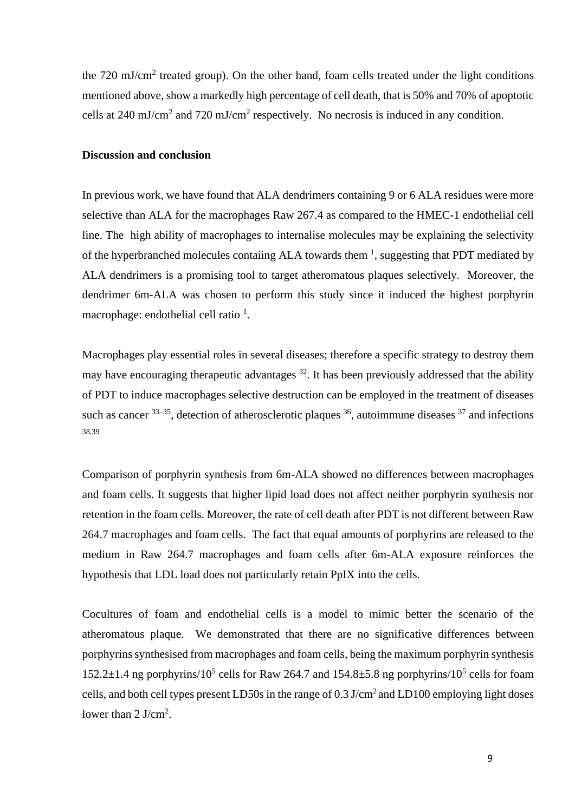the  $720 \text{ mJ/cm}^2$  treated group). On the other hand, foam cells treated under the light conditions mentioned above, show a markedly high percentage of cell death, that is 50% and 70% of apoptotic cells at 240 mJ/cm<sup>2</sup> and 720 mJ/cm<sup>2</sup> respectively. No necrosis is induced in any condition.

## **Discussion and conclusion**

In previous work, we have found that ALA dendrimers containing 9 or 6 ALA residues were more selective than ALA for the macrophages Raw 267.4 as compared to the HMEC-1 endothelial cell line. The high ability of macrophages to internalise molecules may be explaining the selectivity of the hyperbranched molecules contaiing ALA towards them  $\frac{1}{1}$ , suggesting that PDT mediated by ALA dendrimers is a promising tool to target atheromatous plaques selectively. Moreover, the dendrimer 6m-ALA was chosen to perform this study since it induced the highest porphyrin macrophage: endothelial cell ratio  $<sup>1</sup>$ .</sup>

Macrophages play essential roles in several diseases; therefore a specific strategy to destroy them may have encouraging therapeutic advantages  $32$ . It has been previously addressed that the ability of PDT to induce macrophages selective destruction can be employed in the treatment of diseases such as cancer  $33-35$ , detection of atherosclerotic plaques  $36$ , autoimmune diseases  $37$  and infections 38,39

Comparison of porphyrin synthesis from 6m-ALA showed no differences between macrophages and foam cells. It suggests that higher lipid load does not affect neither porphyrin synthesis nor retention in the foam cells. Moreover, the rate of cell death after PDT is not different between Raw 264.7 macrophages and foam cells. The fact that equal amounts of porphyrins are released to the medium in Raw 264.7 macrophages and foam cells after 6m-ALA exposure reinforces the hypothesis that LDL load does not particularly retain PpIX into the cells.

Cocultures of foam and endothelial cells is a model to mimic better the scenario of the atheromatous plaque. We demonstrated that there are no significative differences between porphyrins synthesised from macrophages and foam cells, being the maximum porphyrin synthesis 152.2 $\pm$ 1.4 ng porphyrins/10<sup>5</sup> cells for Raw 264.7 and 154.8 $\pm$ 5.8 ng porphyrins/10<sup>5</sup> cells for foam cells, and both cell types present LD50s in the range of  $0.3 \text{ J/cm}^2$  and LD100 employing light doses lower than  $2 \text{ J/cm}^2$ .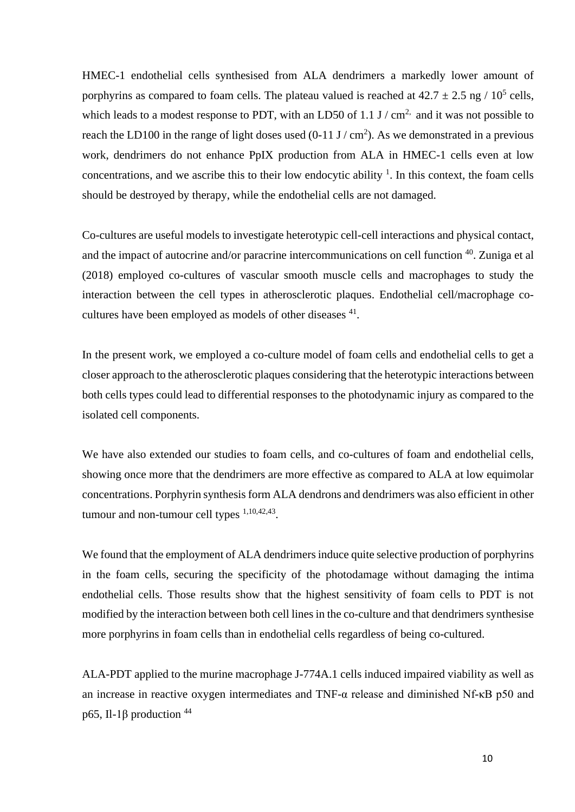HMEC-1 endothelial cells synthesised from ALA dendrimers a markedly lower amount of porphyrins as compared to foam cells. The plateau valued is reached at  $42.7 \pm 2.5$  ng /  $10^5$  cells, which leads to a modest response to PDT, with an LD50 of 1.1 J  $/\text{cm}^2$  and it was not possible to reach the LD100 in the range of light doses used  $(0-11 \text{ J}/\text{cm}^2)$ . As we demonstrated in a previous work, dendrimers do not enhance PpIX production from ALA in HMEC-1 cells even at low concentrations, and we ascribe this to their low endocytic ability  $\frac{1}{1}$ . In this context, the foam cells should be destroyed by therapy, while the endothelial cells are not damaged.

Co-cultures are useful models to investigate heterotypic cell-cell interactions and physical contact, and the impact of autocrine and/or paracrine intercommunications on cell function <sup>40</sup>. Zuniga et al (2018) employed co-cultures of vascular smooth muscle cells and macrophages to study the interaction between the cell types in atherosclerotic plaques. Endothelial cell/macrophage cocultures have been employed as models of other diseases <sup>41</sup>.

In the present work, we employed a co-culture model of foam cells and endothelial cells to get a closer approach to the atherosclerotic plaques considering that the heterotypic interactions between both cells types could lead to differential responses to the photodynamic injury as compared to the isolated cell components.

We have also extended our studies to foam cells, and co-cultures of foam and endothelial cells, showing once more that the dendrimers are more effective as compared to ALA at low equimolar concentrations. Porphyrin synthesis form ALA dendrons and dendrimers was also efficient in other tumour and non-tumour cell types  $1,10,42,43$ .

We found that the employment of ALA dendrimers induce quite selective production of porphyrins in the foam cells, securing the specificity of the photodamage without damaging the intima endothelial cells. Those results show that the highest sensitivity of foam cells to PDT is not modified by the interaction between both cell lines in the co-culture and that dendrimers synthesise more porphyrins in foam cells than in endothelial cells regardless of being co-cultured.

ALA-PDT applied to the murine macrophage J-774A.1 cells induced impaired viability as well as an increase in reactive oxygen intermediates and TNF-α release and diminished Nf-κB p50 and p65, Il-1 $\beta$  production <sup>44</sup>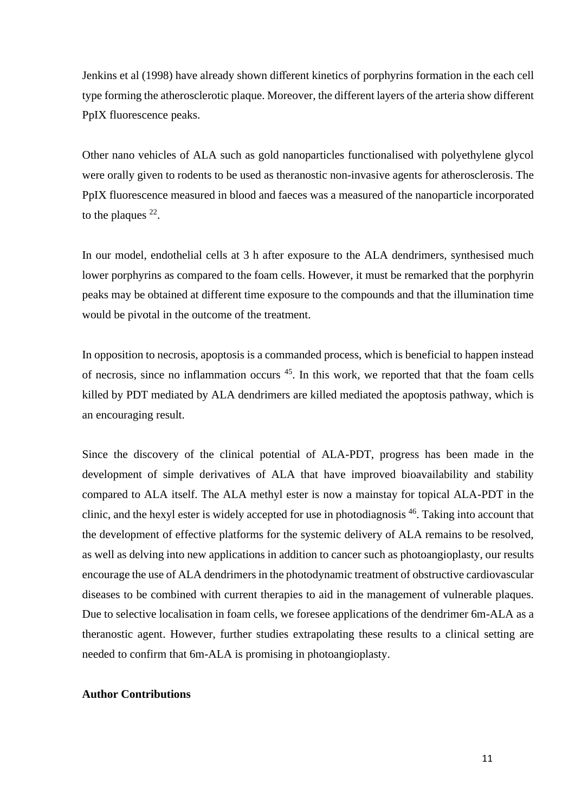Jenkins et al (1998) have already shown different kinetics of porphyrins formation in the each cell type forming the atherosclerotic plaque. Moreover, the different layers of the arteria show different PpIX fluorescence peaks.

Other nano vehicles of ALA such as gold nanoparticles functionalised with polyethylene glycol were orally given to rodents to be used as theranostic non-invasive agents for atherosclerosis. The PpIX fluorescence measured in blood and faeces was a measured of the nanoparticle incorporated to the plaques  $^{22}$ .

In our model, endothelial cells at 3 h after exposure to the ALA dendrimers, synthesised much lower porphyrins as compared to the foam cells. However, it must be remarked that the porphyrin peaks may be obtained at different time exposure to the compounds and that the illumination time would be pivotal in the outcome of the treatment.

In opposition to necrosis, apoptosis is a commanded process, which is beneficial to happen instead of necrosis, since no inflammation occurs <sup>[45](https://www.ncbi.nlm.nih.gov/pubmed/?term=Syed%20Abdul%20Rahman%20SN%5BAuthor%5D&cauthor=true&cauthor_uid=23762112)</sup>. In this work, we reported that that the foam cells killed by PDT mediated by ALA dendrimers are killed mediated the apoptosis pathway, which is an encouraging result.

Since the discovery of the clinical potential of ALA-PDT, progress has been made in the development of simple derivatives of ALA that have improved bioavailability and stability compared to ALA itself. The ALA methyl ester is now a mainstay for topical ALA-PDT in the clinic, and the hexyl ester is widely accepted for use in photodiagnosis <sup>46</sup>. Taking into account that the development of effective platforms for the systemic delivery of ALA remains to be resolved, as well as delving into new applications in addition to cancer such as photoangioplasty, our results encourage the use of ALA dendrimers in the photodynamic treatment of obstructive cardiovascular diseases to be combined with current therapies to aid in the management of vulnerable plaques. Due to selective localisation in foam cells, we foresee applications of the dendrimer 6m-ALA as a theranostic agent. However, further studies extrapolating these results to a clinical setting are needed to confirm that 6m-ALA is promising in photoangioplasty.

### **Author Contributions**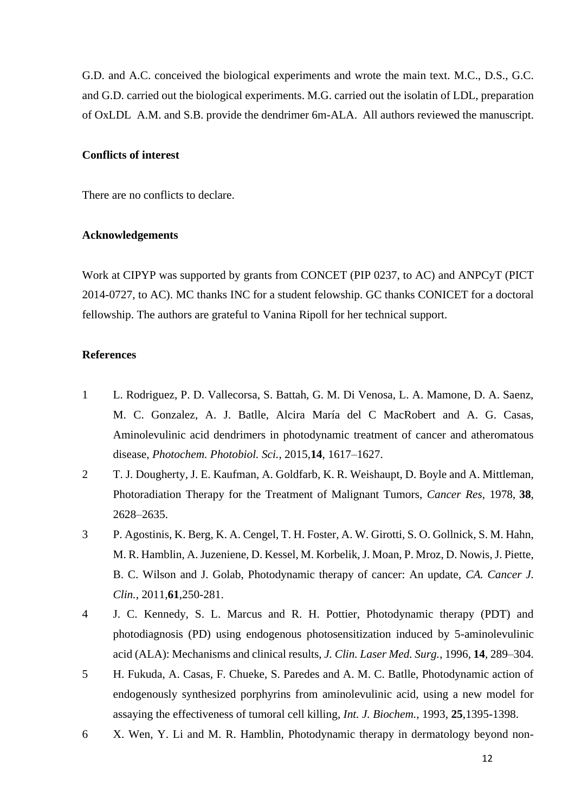G.D. and A.C. conceived the biological experiments and wrote the main text. M.C., D.S., G.C. and G.D. carried out the biological experiments. M.G. carried out the isolatin of LDL, preparation of OxLDL A.M. and S.B. provide the dendrimer 6m-ALA. All authors reviewed the manuscript.

### **Conflicts of interest**

There are no conflicts to declare.

#### **Acknowledgements**

Work at CIPYP was supported by grants from CONCET (PIP 0237, to AC) and ANPCyT (PICT 2014-0727, to AC). MC thanks INC for a student felowship. GC thanks CONICET for a doctoral fellowship. The authors are grateful to Vanina Ripoll for her technical support.

#### **References**

- 1 L. Rodriguez, P. D. Vallecorsa, S. Battah, G. M. Di Venosa, L. A. Mamone, D. A. Saenz, M. C. Gonzalez, A. J. Batlle, Alcira María del C MacRobert and A. G. Casas, Aminolevulinic acid dendrimers in photodynamic treatment of cancer and atheromatous disease, *Photochem. Photobiol. Sci.*, 2015,**14**, 1617–1627.
- 2 T. J. Dougherty, J. E. Kaufman, A. Goldfarb, K. R. Weishaupt, D. Boyle and A. Mittleman, Photoradiation Therapy for the Treatment of Malignant Tumors, *Cancer Res,* 1978, **38**, 2628–2635.
- 3 P. Agostinis, K. Berg, K. A. Cengel, T. H. Foster, A. W. Girotti, S. O. Gollnick, S. M. Hahn, M. R. Hamblin, A. Juzeniene, D. Kessel, M. Korbelik, J. Moan, P. Mroz, D. Nowis, J. Piette, B. C. Wilson and J. Golab, Photodynamic therapy of cancer: An update, *CA. Cancer J. Clin.*, 2011,**61**,250-281.
- 4 J. C. Kennedy, S. L. Marcus and R. H. Pottier, Photodynamic therapy (PDT) and photodiagnosis (PD) using endogenous photosensitization induced by 5-aminolevulinic acid (ALA): Mechanisms and clinical results, *J. Clin. Laser Med. Surg.*, 1996, **14**, 289–304.
- 5 H. Fukuda, A. Casas, F. Chueke, S. Paredes and A. M. C. Batlle, Photodynamic action of endogenously synthesized porphyrins from aminolevulinic acid, using a new model for assaying the effectiveness of tumoral cell killing, *Int. J. Biochem.*, 1993, **25**,1395-1398.
- 6 X. Wen, Y. Li and M. R. Hamblin, Photodynamic therapy in dermatology beyond non-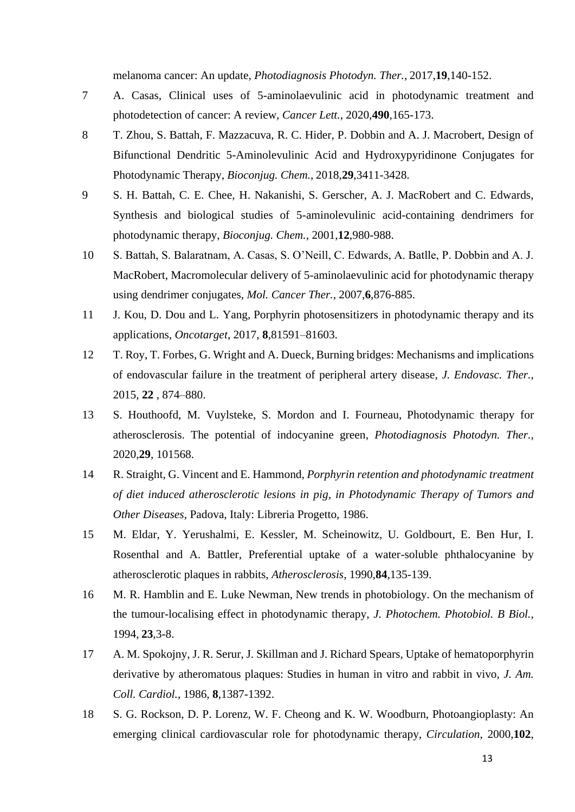melanoma cancer: An update, *Photodiagnosis Photodyn. Ther.*, 2017,**19**,140-152.

- 7 A. Casas, Clinical uses of 5-aminolaevulinic acid in photodynamic treatment and photodetection of cancer: A review, *Cancer Lett.*, 2020,**490**,165-173.
- 8 T. Zhou, S. Battah, F. Mazzacuva, R. C. Hider, P. Dobbin and A. J. Macrobert, Design of Bifunctional Dendritic 5-Aminolevulinic Acid and Hydroxypyridinone Conjugates for Photodynamic Therapy, *Bioconjug. Chem.*, 2018,**29**,3411-3428.
- 9 S. H. Battah, C. E. Chee, H. Nakanishi, S. Gerscher, A. J. MacRobert and C. Edwards, Synthesis and biological studies of 5-aminolevulinic acid-containing dendrimers for photodynamic therapy, *Bioconjug. Chem.*, 2001,**12**,980-988.
- 10 S. Battah, S. Balaratnam, A. Casas, S. O'Neill, C. Edwards, A. Batlle, P. Dobbin and A. J. MacRobert, Macromolecular delivery of 5-aminolaevulinic acid for photodynamic therapy using dendrimer conjugates, *Mol. Cancer Ther.*, 2007,**6**,876-885.
- 11 J. Kou, D. Dou and L. Yang, Porphyrin photosensitizers in photodynamic therapy and its applications, *Oncotarget*, 2017, **8**,81591–81603.
- 12 T. Roy, T. Forbes, G. Wright and A. Dueck, Burning bridges: Mechanisms and implications of endovascular failure in the treatment of peripheral artery disease, *J. Endovasc. Ther.*, 2015, **22** , 874–880.
- 13 S. Houthoofd, M. Vuylsteke, S. Mordon and I. Fourneau, Photodynamic therapy for atherosclerosis. The potential of indocyanine green, *Photodiagnosis Photodyn. Ther.*, 2020,**29**, 101568.
- 14 R. Straight, G. Vincent and E. Hammond, *Porphyrin retention and photodynamic treatment of diet induced atherosclerotic lesions in pig, in Photodynamic Therapy of Tumors and Other Diseases*, Padova, Italy: Libreria Progetto, 1986.
- 15 M. Eldar, Y. Yerushalmi, E. Kessler, M. Scheinowitz, U. Goldbourt, E. Ben Hur, I. Rosenthal and A. Battler, Preferential uptake of a water-soluble phthalocyanine by atherosclerotic plaques in rabbits, *Atherosclerosis*, 1990,**84**,135-139.
- 16 M. R. Hamblin and E. Luke Newman, New trends in photobiology. On the mechanism of the tumour-localising effect in photodynamic therapy, *J. Photochem. Photobiol. B Biol.*, 1994, **23**,3-8.
- 17 A. M. Spokojny, J. R. Serur, J. Skillman and J. Richard Spears, Uptake of hematoporphyrin derivative by atheromatous plaques: Studies in human in vitro and rabbit in vivo, *J. Am. Coll. Cardiol.*, 1986, **8**,1387-1392.
- 18 S. G. Rockson, D. P. Lorenz, W. F. Cheong and K. W. Woodburn, Photoangioplasty: An emerging clinical cardiovascular role for photodynamic therapy, *Circulation*, 2000,**102**,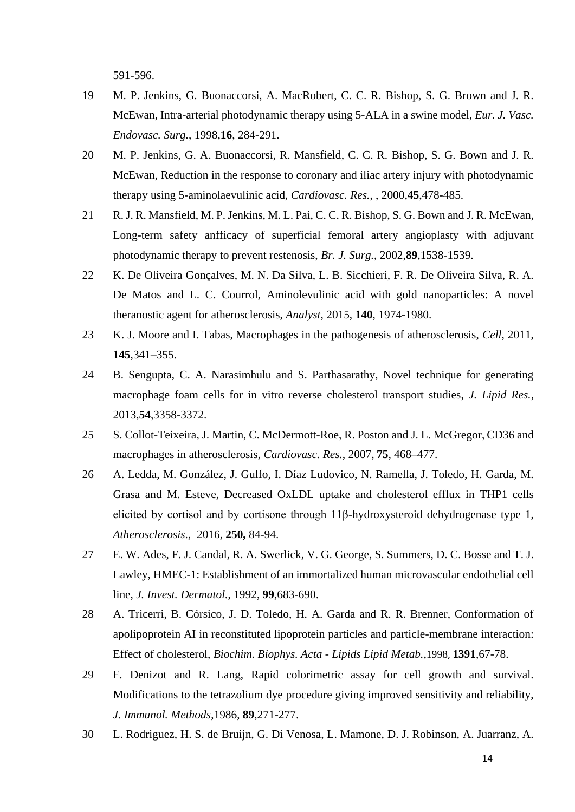591-596.

- 19 M. P. Jenkins, G. Buonaccorsi, A. MacRobert, C. C. R. Bishop, S. G. Brown and J. R. McEwan, Intra-arterial photodynamic therapy using 5-ALA in a swine model, *Eur. J. Vasc. Endovasc. Surg.*, 1998,**16**, 284-291.
- 20 M. P. Jenkins, G. A. Buonaccorsi, R. Mansfield, C. C. R. Bishop, S. G. Bown and J. R. McEwan, Reduction in the response to coronary and iliac artery injury with photodynamic therapy using 5-aminolaevulinic acid, *Cardiovasc. Res.*, , 2000,**45**,478-485.
- 21 R. J. R. Mansfield, M. P. Jenkins, M. L. Pai, C. C. R. Bishop, S. G. Bown and J. R. McEwan, Long-term safety anfficacy of superficial femoral artery angioplasty with adjuvant photodynamic therapy to prevent restenosis, *Br. J. Surg.*, 2002,**89**,1538-1539.
- 22 K. De Oliveira Gonçalves, M. N. Da Silva, L. B. Sicchieri, F. R. De Oliveira Silva, R. A. De Matos and L. C. Courrol, Aminolevulinic acid with gold nanoparticles: A novel theranostic agent for atherosclerosis, *Analyst*, 2015, **140**, 1974-1980.
- 23 K. J. Moore and I. Tabas, Macrophages in the pathogenesis of atherosclerosis, *Cell*, 2011, **145**,341–355.
- 24 B. Sengupta, C. A. Narasimhulu and S. Parthasarathy, Novel technique for generating macrophage foam cells for in vitro reverse cholesterol transport studies, *J. Lipid Res.*, 2013,**54**,3358-3372.
- 25 S. Collot-Teixeira, J. Martin, C. McDermott-Roe, R. Poston and J. L. McGregor, CD36 and macrophages in atherosclerosis, *Cardiovasc. Res.*, 2007, **75**, 468–477.
- 26 A. Ledda, M. González, J. Gulfo, I. Díaz Ludovico, N. Ramella, J. Toledo, H. Garda, M. Grasa and M. Esteve, Decreased OxLDL uptake and cholesterol efflux in THP1 cells elicited by cortisol and by cortisone through 11β-hydroxysteroid dehydrogenase type 1, *Atherosclerosis*., 2016, **250,** 84-94.
- 27 E. W. Ades, F. J. Candal, R. A. Swerlick, V. G. George, S. Summers, D. C. Bosse and T. J. Lawley, HMEC-1: Establishment of an immortalized human microvascular endothelial cell line, *J. Invest. Dermatol.*, 1992, **99**,683-690.
- 28 A. Tricerri, B. Córsico, J. D. Toledo, H. A. Garda and R. R. Brenner, Conformation of apolipoprotein AI in reconstituted lipoprotein particles and particle-membrane interaction: Effect of cholesterol, *Biochim. Biophys. Acta - Lipids Lipid Metab.*,1998, **1391**,67-78.
- 29 F. Denizot and R. Lang, Rapid colorimetric assay for cell growth and survival. Modifications to the tetrazolium dye procedure giving improved sensitivity and reliability, *J. Immunol. Methods*,1986, **89**,271-277.
- 30 L. Rodriguez, H. S. de Bruijn, G. Di Venosa, L. Mamone, D. J. Robinson, A. Juarranz, A.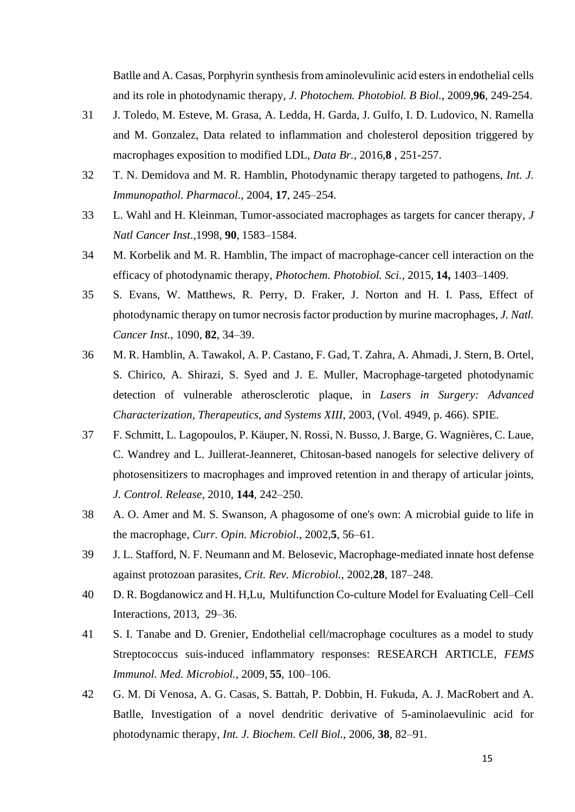Batlle and A. Casas, Porphyrin synthesis from aminolevulinic acid esters in endothelial cells and its role in photodynamic therapy, *J. Photochem. Photobiol. B Biol.*, 2009,**96**, 249-254.

- 31 J. Toledo, M. Esteve, M. Grasa, A. Ledda, H. Garda, J. Gulfo, I. D. Ludovico, N. Ramella and M. Gonzalez, Data related to inflammation and cholesterol deposition triggered by macrophages exposition to modified LDL, *Data Br.*, 2016,**8** , 251-257.
- 32 T. N. Demidova and M. R. Hamblin, Photodynamic therapy targeted to pathogens, *Int. J. Immunopathol. Pharmacol.*, 2004, **17**, 245–254.
- 33 L. Wahl and H. Kleinman, Tumor-associated macrophages as targets for cancer therapy, *J Natl Cancer Inst*.,1998, **90**, 1583–1584.
- 34 M. Korbelik and M. R. Hamblin, The impact of macrophage-cancer cell interaction on the efficacy of photodynamic therapy, *Photochem. Photobiol. Sci.*, 2015, **14,** 1403–1409.
- 35 S. Evans, W. Matthews, R. Perry, D. Fraker, J. Norton and H. I. Pass, Effect of photodynamic therapy on tumor necrosis factor production by murine macrophages, *J. Natl. Cancer Inst.*, 1090, **82**, 34–39.
- 36 M. R. Hamblin, A. Tawakol, A. P. Castano, F. Gad, T. Zahra, A. Ahmadi, J. Stern, B. Ortel, S. Chirico, A. Shirazi, S. Syed and J. E. Muller, Macrophage-targeted photodynamic detection of vulnerable atherosclerotic plaque, in *Lasers in Surgery: Advanced Characterization, Therapeutics, and Systems XIII*, 2003, (Vol. 4949, p. 466). SPIE.
- 37 F. Schmitt, L. Lagopoulos, P. Käuper, N. Rossi, N. Busso, J. Barge, G. Wagnières, C. Laue, C. Wandrey and L. Juillerat-Jeanneret, Chitosan-based nanogels for selective delivery of photosensitizers to macrophages and improved retention in and therapy of articular joints, *J. Control. Release*, 2010, **144**, 242–250.
- 38 A. O. Amer and M. S. Swanson, A phagosome of one's own: A microbial guide to life in the macrophage, *Curr. Opin. Microbiol.*, 2002,**5**, 56–61.
- 39 J. L. Stafford, N. F. Neumann and M. Belosevic, Macrophage-mediated innate host defense against protozoan parasites, *Crit. Rev. Microbiol.*, 2002,**28**, 187–248.
- 40 D. R. Bogdanowicz and H. H,Lu, Multifunction Co-culture Model for Evaluating Cell–Cell Interactions, 2013, 29–36.
- 41 S. I. Tanabe and D. Grenier, Endothelial cell/macrophage cocultures as a model to study Streptococcus suis-induced inflammatory responses: RESEARCH ARTICLE, *FEMS Immunol. Med. Microbiol.*, 2009, **55**, 100–106.
- 42 G. M. Di Venosa, A. G. Casas, S. Battah, P. Dobbin, H. Fukuda, A. J. MacRobert and A. Batlle, Investigation of a novel dendritic derivative of 5-aminolaevulinic acid for photodynamic therapy, *Int. J. Biochem. Cell Biol.*, 2006, **38**, 82–91.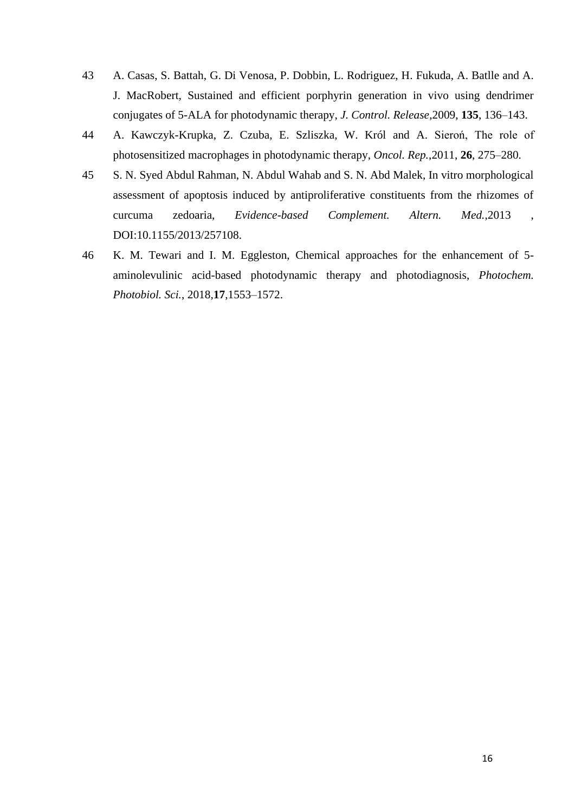- 43 A. Casas, S. Battah, G. Di Venosa, P. Dobbin, L. Rodriguez, H. Fukuda, A. Batlle and A. J. MacRobert, Sustained and efficient porphyrin generation in vivo using dendrimer conjugates of 5-ALA for photodynamic therapy, *J. Control. Release*,2009, **135**, 136–143.
- 44 A. Kawczyk-Krupka, Z. Czuba, E. Szliszka, W. Król and A. Sieroń, The role of photosensitized macrophages in photodynamic therapy, *Oncol. Rep.*,2011, **26**, 275–280.
- 45 S. N. Syed Abdul Rahman, N. Abdul Wahab and S. N. Abd Malek, In vitro morphological assessment of apoptosis induced by antiproliferative constituents from the rhizomes of curcuma zedoaria, *Evidence-based Complement. Altern. Med.*,2013 , DOI:10.1155/2013/257108.
- 46 K. M. Tewari and I. M. Eggleston, Chemical approaches for the enhancement of 5 aminolevulinic acid-based photodynamic therapy and photodiagnosis, *Photochem. Photobiol. Sci.*, 2018,**17**,1553–1572.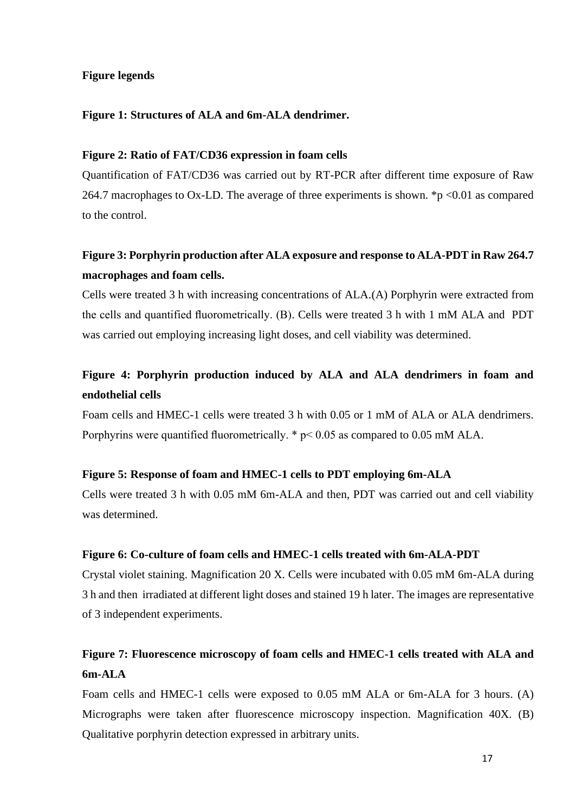## **Figure legends**

## **Figure 1: Structures of ALA and 6m-ALA dendrimer.**

### **Figure 2: Ratio of FAT/CD36 expression in foam cells**

Quantification of FAT/CD36 was carried out by RT-PCR after different time exposure of Raw 264.7 macrophages to Ox-LD. The average of three experiments is shown. \*p <0.01 as compared to the control.

## **Figure 3: Porphyrin production after ALA exposure and response to ALA-PDT in Raw 264.7 macrophages and foam cells.**

Cells were treated 3 h with increasing concentrations of ALA.(A) Porphyrin were extracted from the cells and quantified fluorometrically. (B). Cells were treated 3 h with 1 mM ALA and PDT was carried out employing increasing light doses, and cell viability was determined.

## **Figure 4: Porphyrin production induced by ALA and ALA dendrimers in foam and endothelial cells**

Foam cells and HMEC-1 cells were treated 3 h with 0.05 or 1 mM of ALA or ALA dendrimers. Porphyrins were quantified fluorometrically. \* p< 0.05 as compared to 0.05 mM ALA.

## **Figure 5: Response of foam and HMEC-1 cells to PDT employing 6m-ALA**

Cells were treated 3 h with 0.05 mM 6m-ALA and then, PDT was carried out and cell viability was determined.

### **Figure 6: Co-culture of foam cells and HMEC-1 cells treated with 6m-ALA-PDT**

Crystal violet staining. Magnification 20 X. Cells were incubated with 0.05 mM 6m-ALA during 3 h and then irradiated at different light doses and stained 19 h later. The images are representative of 3 independent experiments.

# **Figure 7: Fluorescence microscopy of foam cells and HMEC-1 cells treated with ALA and 6m-ALA**

Foam cells and HMEC-1 cells were exposed to 0.05 mM ALA or 6m-ALA for 3 hours. (A) Micrographs were taken after fluorescence microscopy inspection. Magnification 40X. (B) Qualitative porphyrin detection expressed in arbitrary units.